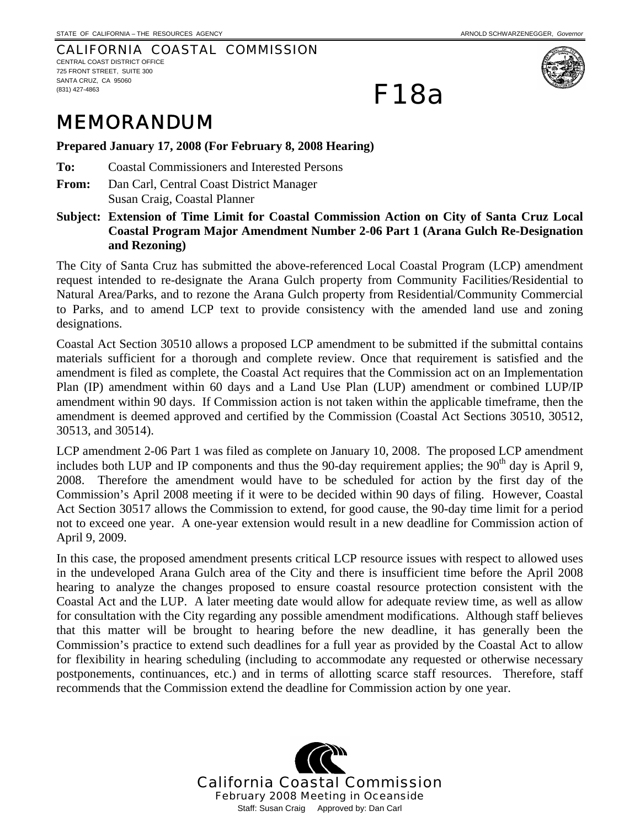## CALIFORNIA COASTAL COMMISSION CENTRAL COAST DISTRICT OFFICE

725 FRONT STREET, SUITE 300 SANTA CRUZ, CA 95060 (831) 427-4863



MEMORANDUM

**Prepared January 17, 2008 (For February 8, 2008 Hearing)** 

**To:** Coastal Commissioners and Interested Persons

**From:** Dan Carl, Central Coast District Manager Susan Craig, Coastal Planner

**Subject: Extension of Time Limit for Coastal Commission Action on City of Santa Cruz Local Coastal Program Major Amendment Number 2-06 Part 1 (Arana Gulch Re-Designation and Rezoning)** 

F18a

The City of Santa Cruz has submitted the above-referenced Local Coastal Program (LCP) amendment request intended to re-designate the Arana Gulch property from Community Facilities/Residential to Natural Area/Parks, and to rezone the Arana Gulch property from Residential/Community Commercial to Parks, and to amend LCP text to provide consistency with the amended land use and zoning designations.

Coastal Act Section 30510 allows a proposed LCP amendment to be submitted if the submittal contains materials sufficient for a thorough and complete review. Once that requirement is satisfied and the amendment is filed as complete, the Coastal Act requires that the Commission act on an Implementation Plan (IP) amendment within 60 days and a Land Use Plan (LUP) amendment or combined LUP/IP amendment within 90 days. If Commission action is not taken within the applicable timeframe, then the amendment is deemed approved and certified by the Commission (Coastal Act Sections 30510, 30512, 30513, and 30514).

LCP amendment 2-06 Part 1 was filed as complete on January 10, 2008. The proposed LCP amendment includes both LUP and IP components and thus the 90-day requirement applies; the  $90<sup>th</sup>$  day is April 9, 2008. Therefore the amendment would have to be scheduled for action by the first day of the Commission's April 2008 meeting if it were to be decided within 90 days of filing. However, Coastal Act Section 30517 allows the Commission to extend, for good cause, the 90-day time limit for a period not to exceed one year. A one-year extension would result in a new deadline for Commission action of April 9, 2009.

In this case, the proposed amendment presents critical LCP resource issues with respect to allowed uses in the undeveloped Arana Gulch area of the City and there is insufficient time before the April 2008 hearing to analyze the changes proposed to ensure coastal resource protection consistent with the Coastal Act and the LUP. A later meeting date would allow for adequate review time, as well as allow for consultation with the City regarding any possible amendment modifications. Although staff believes that this matter will be brought to hearing before the new deadline, it has generally been the Commission's practice to extend such deadlines for a full year as provided by the Coastal Act to allow for flexibility in hearing scheduling (including to accommodate any requested or otherwise necessary postponements, continuances, etc.) and in terms of allotting scarce staff resources. Therefore, staff recommends that the Commission extend the deadline for Commission action by one year.